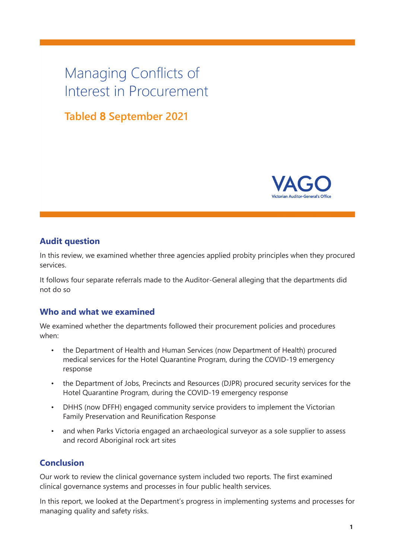# Managing Conflicts of Interest in Procurement

# **Tabled 8 September 2021**



#### **Audit question**

In this review, we examined whether three agencies applied probity principles when they procured services.

It follows four separate referrals made to the Auditor-General alleging that the departments did not do so

# **Who and what we examined**

We examined whether the departments followed their procurement policies and procedures when:

- the Department of Health and Human Services (now Department of Health) procured medical services for the Hotel Quarantine Program, during the COVID-19 emergency response
- the Department of Jobs, Precincts and Resources (DJPR) procured security services for the Hotel Quarantine Program, during the COVID-19 emergency response
- DHHS (now DFFH) engaged community service providers to implement the Victorian Family Preservation and Reunification Response
- and when Parks Victoria engaged an archaeological surveyor as a sole supplier to assess and record Aboriginal rock art sites

# **Conclusion**

Our work to review the clinical governance system included two reports. The first examined clinical governance systems and processes in four public health services.

In this report, we looked at the Department's progress in implementing systems and processes for managing quality and safety risks.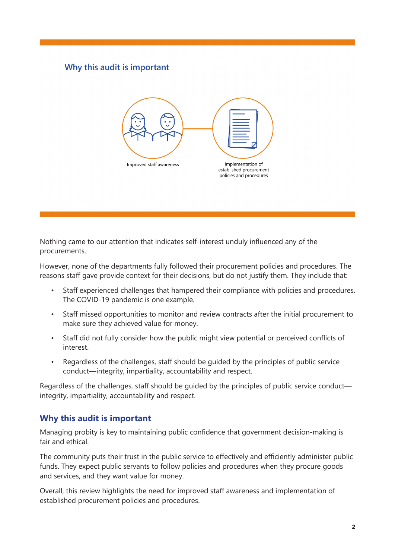# Why this audit is important



Nothing came to our attention that indicates self-interest unduly influenced any of the procurements.

However, none of the departments fully followed their procurement policies and procedures. The reasons staff gave provide context for their decisions, but do not justify them. They include that:

- Staff experienced challenges that hampered their compliance with policies and procedures. The COVID-19 pandemic is one example.
- Staff missed opportunities to monitor and review contracts after the initial procurement to make sure they achieved value for money.
- Staff did not fully consider how the public might view potential or perceived conflicts of interest.
- Regardless of the challenges, staff should be guided by the principles of public service conduct—integrity, impartiality, accountability and respect.

Regardless of the challenges, staff should be guided by the principles of public service conduct integrity, impartiality, accountability and respect.

# **Why this audit is important**

Managing probity is key to maintaining public confidence that government decision-making is fair and ethical.

The community puts their trust in the public service to effectively and efficiently administer public funds. They expect public servants to follow policies and procedures when they procure goods and services, and they want value for money.

Overall, this review highlights the need for improved staff awareness and implementation of established procurement policies and procedures.